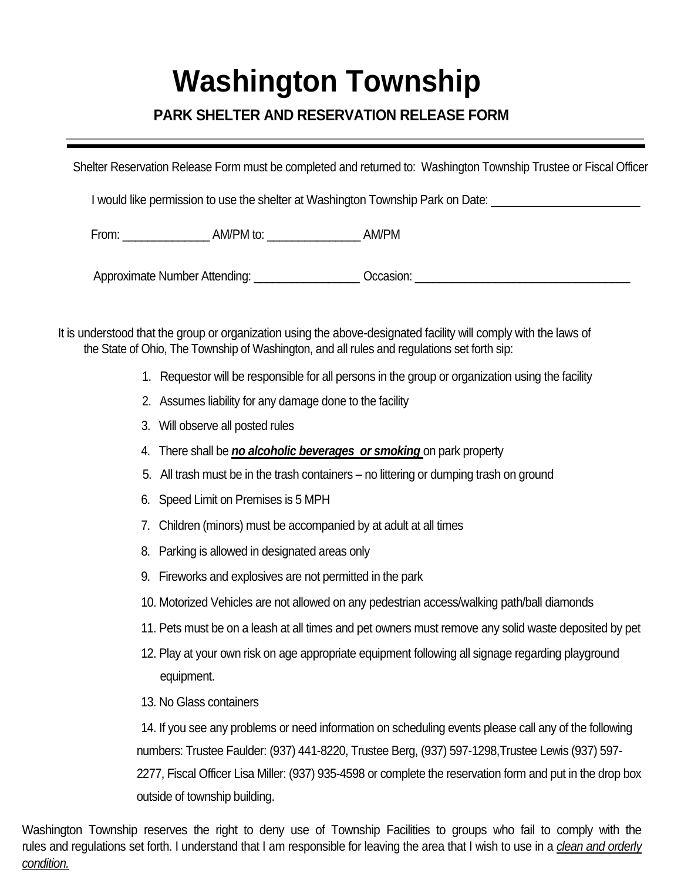## **Washington Township**

## **PARK SHELTER AND RESERVATION RELEASE FORM**

Shelter Reservation Release Form must be completed and returned to: Washington Township Trustee or Fiscal Officer

I would like permission to use the shelter at Washington Township Park on Date: \_\_\_\_\_\_\_\_\_\_\_\_\_\_\_\_\_\_\_\_\_\_\_\_\_\_\_\_\_\_

From: AM/PM to: AM/PM TO: AM/PM

Approximate Number Attending: example of Cocasion:  $\alpha$ 

It is understood that the group or organization using the above-designated facility will comply with the laws of the State of Ohio, The Township of Washington, and all rules and regulations set forth sip:

- 1. Requestor will be responsible for all persons in the group or organization using the facility
- 2. Assumes liability for any damage done to the facility
- 3. Will observe all posted rules
- 4. There shall be *no alcoholic beverages or smoking* on park property
- 5. All trash must be in the trash containers no littering or dumping trash on ground
- 6. Speed Limit on Premises is 5 MPH
- 7. Children (minors) must be accompanied by at adult at all times
- 8. Parking is allowed in designated areas only
- 9. Fireworks and explosives are not permitted in the park
- 10. Motorized Vehicles are not allowed on any pedestrian access/walking path/ball diamonds
- 11. Pets must be on a leash at all times and pet owners must remove any solid waste deposited by pet
- 12. Play at your own risk on age appropriate equipment following all signage regarding playground equipment.
- 13. No Glass containers

14. If you see any problems or need information on scheduling events please call any of the following numbers: Trustee Faulder: (937) 441-8220, Trustee Berg, (937) 597-1298,Trustee Lewis (937) 597- 2277, Fiscal Officer Lisa Miller: (937) 935-4598 or complete the reservation form and put in the drop box outside of township building.

Washington Township reserves the right to deny use of Township Facilities to groups who fail to comply with the rules and regulations set forth. I understand that I am responsible for leaving the area that I wish to use in a *clean and orderly condition.*